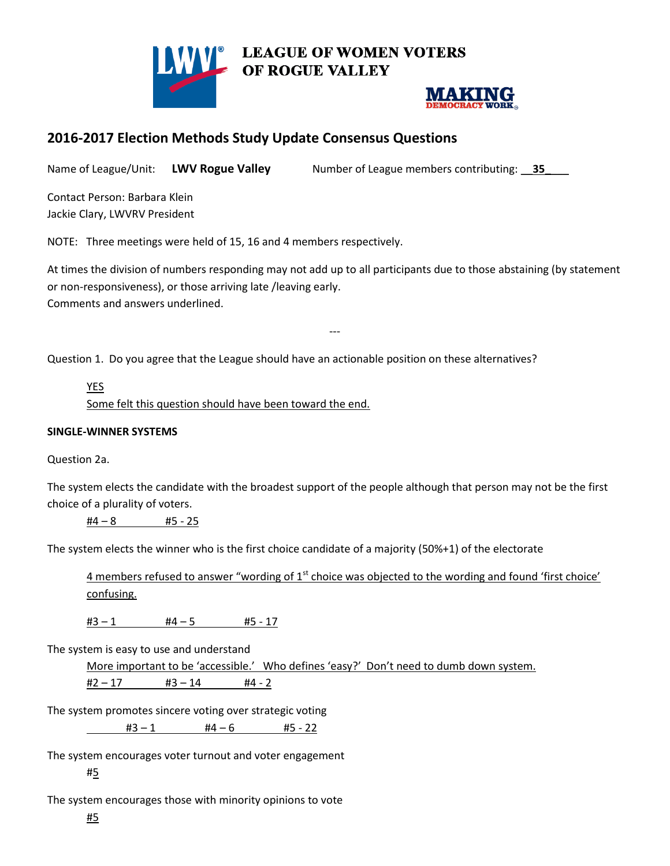



# **2016-2017 Election Methods Study Update Consensus Questions**

Name of League/Unit: L**WV Rogue Valley** Number of League members contributing: 25\_

Contact Person: Barbara Klein Jackie Clary, LWVRV President

NOTE: Three meetings were held of 15, 16 and 4 members respectively.

At times the division of numbers responding may not add up to all participants due to those abstaining (by statement or non-responsiveness), or those arriving late /leaving early. Comments and answers underlined.

**LEAGUE OF WOMEN VOTERS** 

---

Question 1. Do you agree that the League should have an actionable position on these alternatives?

YES Some felt this question should have been toward the end.

#### **SINGLE-WINNER SYSTEMS**

Question 2a.

The system elects the candidate with the broadest support of the people although that person may not be the first choice of a plurality of voters.

 $#4 - 8$   $#5 - 25$ 

The system elects the winner who is the first choice candidate of a majority (50%+1) of the electorate

4 members refused to answer "wording of  $1<sup>st</sup>$  choice was objected to the wording and found 'first choice' confusing.

 $#3 - 1$   $#4 - 5$   $#5 - 17$ 

The system is easy to use and understand

More important to be 'accessible.' Who defines 'easy?' Don't need to dumb down system.

 $#2 - 17$   $#3 - 14$   $#4 - 2$ 

The system promotes sincere voting over strategic voting

 $#3 - 1$   $#4 - 6$   $#5 - 22$ 

The system encourages voter turnout and voter engagement

#5

The system encourages those with minority opinions to vote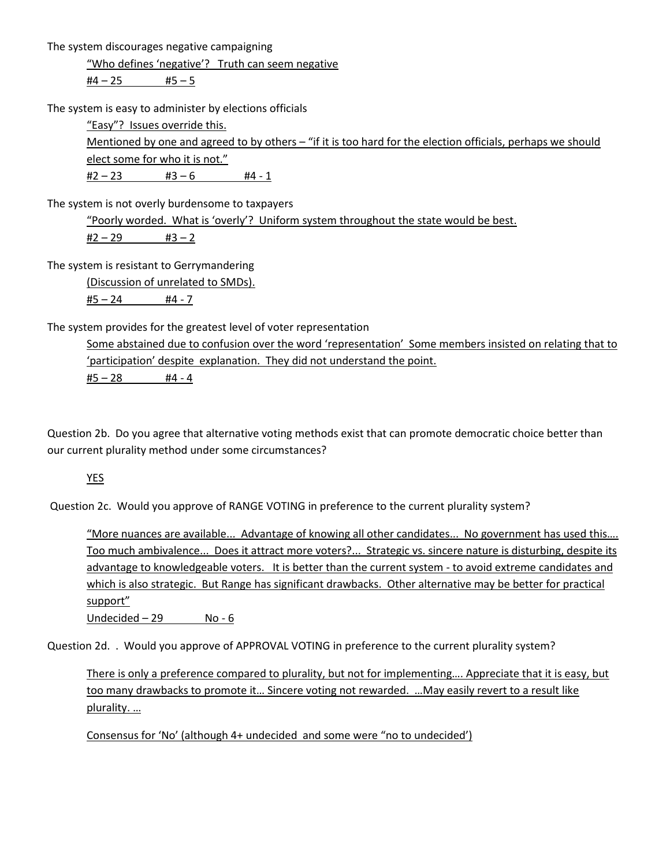The system discourages negative campaigning

"Who defines 'negative'? Truth can seem negative

 $#4 - 25$   $#5 - 5$ 

The system is easy to administer by elections officials

"Easy"? Issues override this.

Mentioned by one and agreed to by others – "if it is too hard for the election officials, perhaps we should elect some for who it is not."

 $#2 - 23$   $#3 - 6$   $#4 - 1$ 

The system is not overly burdensome to taxpayers

"Poorly worded. What is 'overly'? Uniform system throughout the state would be best.  $#2 - 29$   $#3 - 2$ 

The system is resistant to Gerrymandering

(Discussion of unrelated to SMDs). #5 – 24 #4 - 7

The system provides for the greatest level of voter representation

Some abstained due to confusion over the word 'representation' Some members insisted on relating that to 'participation' despite explanation. They did not understand the point. #5 – 28 #4 - 4

Question 2b. Do you agree that alternative voting methods exist that can promote democratic choice better than our current plurality method under some circumstances?

YES

Question 2c. Would you approve of RANGE VOTING in preference to the current plurality system?

"More nuances are available... Advantage of knowing all other candidates... No government has used this…. Too much ambivalence... Does it attract more voters?... Strategic vs. sincere nature is disturbing, despite its advantage to knowledgeable voters. It is better than the current system - to avoid extreme candidates and which is also strategic. But Range has significant drawbacks. Other alternative may be better for practical support"

Undecided  $-29$  No - 6

Question 2d. . Would you approve of APPROVAL VOTING in preference to the current plurality system?

There is only a preference compared to plurality, but not for implementing…. Appreciate that it is easy, but too many drawbacks to promote it… Sincere voting not rewarded. …May easily revert to a result like plurality. …

Consensus for 'No' (although 4+ undecided and some were "no to undecided')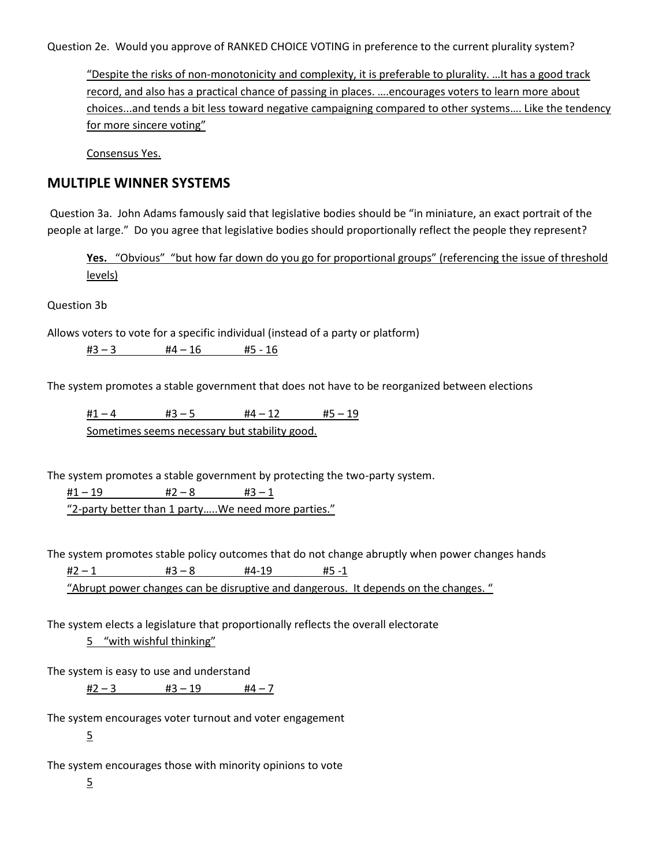Question 2e. Would you approve of RANKED CHOICE VOTING in preference to the current plurality system?

"Despite the risks of non-monotonicity and complexity, it is preferable to plurality. …It has a good track record, and also has a practical chance of passing in places. ….encourages voters to learn more about choices...and tends a bit less toward negative campaigning compared to other systems…. Like the tendency for more sincere voting"

Consensus Yes.

## **MULTIPLE WINNER SYSTEMS**

Question 3a. John Adams famously said that legislative bodies should be "in miniature, an exact portrait of the people at large." Do you agree that legislative bodies should proportionally reflect the people they represent?

**Yes.** "Obvious" "but how far down do you go for proportional groups" (referencing the issue of threshold levels)

Question 3b

Allows voters to vote for a specific individual (instead of a party or platform)

 $#3 - 3$   $#4 - 16$   $#5 - 16$ 

The system promotes a stable government that does not have to be reorganized between elections

 $\frac{\#1 - 4}{\#3 - 5}$   $\frac{\#4 - 12}{\#5 - 19}$ Sometimes seems necessary but stability good.

The system promotes a stable government by protecting the two-party system.

 $#1 - 19$   $#2 - 8$   $#3 - 1$ "2-party better than 1 party…..We need more parties."

The system promotes stable policy outcomes that do not change abruptly when power changes hands

 $#2 - 1$   $#3 - 8$   $#4-19$   $#5 -1$ 

"Abrupt power changes can be disruptive and dangerous. It depends on the changes. "

The system elects a legislature that proportionally reflects the overall electorate

5 "with wishful thinking"

The system is easy to use and understand

 $#2 - 3$   $#3 - 19$   $#4 - 7$ 

The system encourages voter turnout and voter engagement 5

The system encourages those with minority opinions to vote

5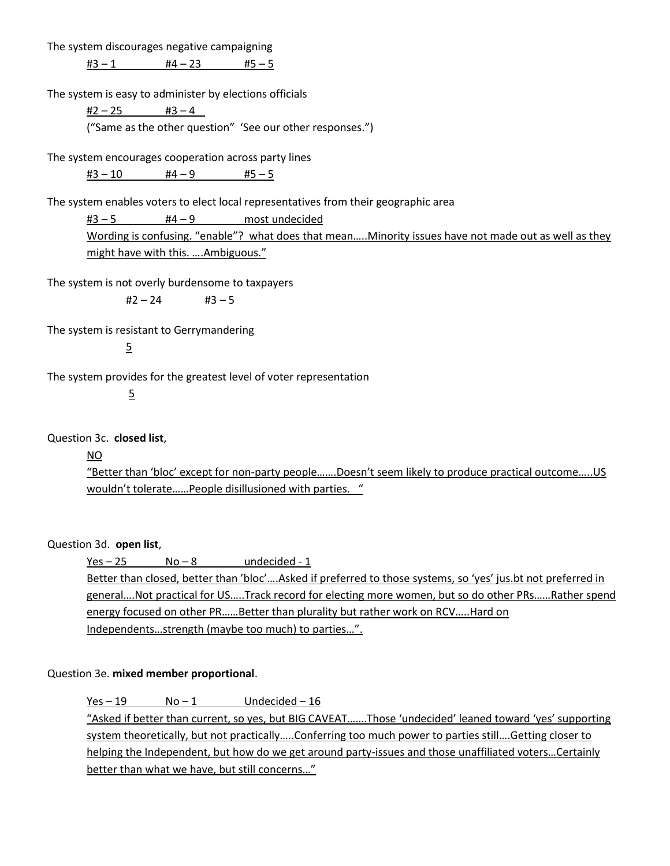The system discourages negative campaigning

 $#3 - 1$   $#4 - 23$   $#5 - 5$ 

The system is easy to administer by elections officials

 $#2 - 25$   $#3 - 4$ ("Same as the other question" 'See our other responses.")

The system encourages cooperation across party lines  $#3 - 10$   $#4 - 9$   $#5 - 5$ 

The system enables voters to elect local representatives from their geographic area

 $#3 - 5$   $#4 - 9$  most undecided Wording is confusing. "enable"? what does that mean.....Minority issues have not made out as well as they might have with this. .... Ambiguous."

The system is not overly burdensome to taxpayers

 $#2 - 24$   $#3 - 5$ 

The system is resistant to Gerrymandering

5

The system provides for the greatest level of voter representation

5

Question 3c. **closed list**,

#### NO

"Better than 'bloc' except for non-party people…….Doesn't seem likely to produce practical outcome…..US wouldn't tolerate……People disillusioned with parties. "

Question 3d. **open list**,

 $Yes - 25$   $No - 8$  undecided - 1 Better than closed, better than 'bloc'….Asked if preferred to those systems, so 'yes' jus.bt not preferred in general....Not practical for US.....Track record for electing more women, but so do other PRs......Rather spend energy focused on other PR……Better than plurality but rather work on RCV…..Hard on Independents…strength (maybe too much) to parties…".

#### Question 3e. **mixed member proportional**.

 $Yes - 19$   $No - 1$  Undecided  $-16$ "Asked if better than current, so yes, but BIG CAVEAT…….Those 'undecided' leaned toward 'yes' supporting system theoretically, but not practically…..Conferring too much power to parties still….Getting closer to helping the Independent, but how do we get around party-issues and those unaffiliated voters...Certainly better than what we have, but still concerns..."